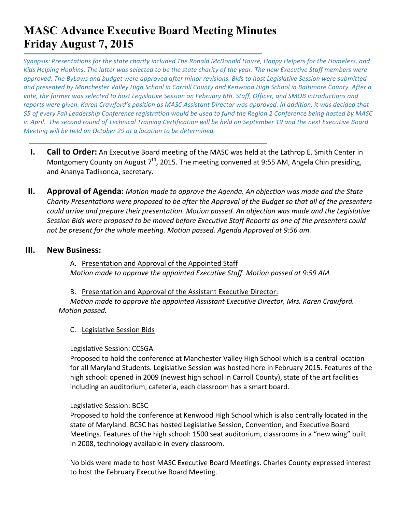# **MASC Advance Executive Board Meeting Minutes Friday August 7, 2015**

*Synopsis: Presentations for the state charity included The Ronald McDonald House, Happy Helpers for the Homeless, and* Kids)Helping Hopkins. The latter was selected to be the state charity of the year. The new Executive Staff members were *approved.)The)ByLaws)and)budget)were)approved)after)minor)revisions.)Bids)to)host)Legislative)Session were)submitted) and)presented)by)Manchester)Valley)High)School)in)Carroll County)and)Kenwood)High)School)in)Baltimore County.)After)a) vote, the former was selected to host Legislative Session on February 6th. Staff, Officer, and SMOB introductions and* reports were given. Karen Crawford's position as MASC Assistant Director was approved. In addition, it was decided that *\$5)of)every)Fall)Leadership)Conference)registration)would)be)used)to)fund)the)Region)2)Conference)being)hosted)by)MASC) in April.* The second round of Technical Training Certification will be held on September 19 and the next Executive Board *Meeting will be held on October 29 at a location to be determined.* 

- **I. Call to Order:** An Executive Board meeting of the MASC was held at the Lathrop E. Smith Center in Montgomery County on August  $7<sup>th</sup>$ , 2015. The meeting convened at 9:55 AM, Angela Chin presiding, and Ananya Tadikonda, secretary.
- **II. Approval of Agenda:** *Motion made to approve the Agenda. An objection was made and the State Charity Presentations were proposed to be after the Approval of the Budget so that all of the presenters could)arrive)and)prepare)their)presentation.)Motion)passed. An)objection)was)made)and)the)Legislative)* Session Bids were proposed to be moved before Executive Staff Reports as one of the presenters could *not be present for the whole meeting. Motion passed. Agenda Approved at 9:56 am.*

#### **III. New Business:**

A. Presentation and Approval of the Appointed Staff *Motion made to approve the appointed Executive Staff. Motion passed at 9:59 AM.* 

- B. Presentation and Approval of the Assistant Executive Director: *Motion made to approve the appointed Assistant Executive Director, Mrs. Karen Crawford. Motion passed.* 
	- C. Legislative Session Bids

Legislative Session: CCSGA

Proposed to hold the conference at Manchester Valley High School which is a central location for all Maryland Students. Legislative Session was hosted here in February 2015. Features of the high school: opened in 2009 (newest high school in Carroll County), state of the art facilities including an auditorium, cafeteria, each classroom has a smart board.

#### Legislative Session: BCSC

Proposed to hold the conference at Kenwood High School which is also centrally located in the state of Maryland. BCSC has hosted Legislative Session, Convention, and Executive Board Meetings. Features of the high school: 1500 seat auditorium, classrooms in a "new wing" built in 2008, technology available in every classroom.

No bids were made to host MASC Executive Board Meetings. Charles County expressed interest to host the February Executive Board Meeting.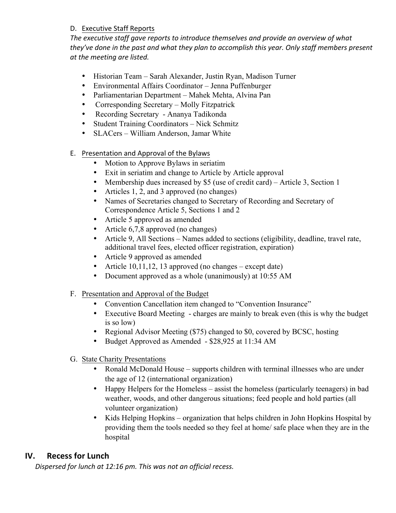## D. Executive Staff Reports

The executive staff gave reports to introduce themselves and provide an overview of what they've done in the past and what they plan to accomplish this year. Only staff members present *at the meeting are listed.* 

- Historian Team Sarah Alexander, Justin Ryan, Madison Turner
- Environmental Affairs Coordinator Jenna Puffenburger
- Parliamentarian Department Mahek Mehta, Alvina Pan
- Corresponding Secretary Molly Fitzpatrick
- Recording Secretary Ananya Tadikonda
- Student Training Coordinators Nick Schmitz
- SLACers William Anderson, Jamar White
- E. Presentation and Approval of the Bylaws
	- Motion to Approve Bylaws in seriatim
	- Exit in seriatim and change to Article by Article approval
	- Membership dues increased by \$5 (use of credit card) Article 3, Section 1
	- Articles 1, 2, and 3 approved (no changes)
	- Names of Secretaries changed to Secretary of Recording and Secretary of Correspondence Article 5, Sections 1 and 2
	- Article 5 approved as amended
	- Article 6,7,8 approved (no changes)
	- Article 9, All Sections Names added to sections (eligibility, deadline, travel rate, additional travel fees, elected officer registration, expiration)
	- Article 9 approved as amended
	- Article 10,11,12, 13 approved (no changes except date)
	- Document approved as a whole (unanimously) at 10:55 AM
- F. Presentation and Approval of the Budget
	- Convention Cancellation item changed to "Convention Insurance"
	- Executive Board Meeting charges are mainly to break even (this is why the budget is so low)
	- Regional Advisor Meeting (\$75) changed to \$0, covered by BCSC, hosting
	- Budget Approved as Amended \$28,925 at 11:34 AM
- G. State Charity Presentations
	- Ronald McDonald House supports children with terminal illnesses who are under the age of 12 (international organization)
	- Happy Helpers for the Homeless assist the homeless (particularly teenagers) in bad weather, woods, and other dangerous situations; feed people and hold parties (all volunteer organization)
	- Kids Helping Hopkins organization that helps children in John Hopkins Hospital by providing them the tools needed so they feel at home/ safe place when they are in the hospital

# **IV.** Recess for Lunch

Dispersed for lunch at 12:16 pm. This was not an official recess.